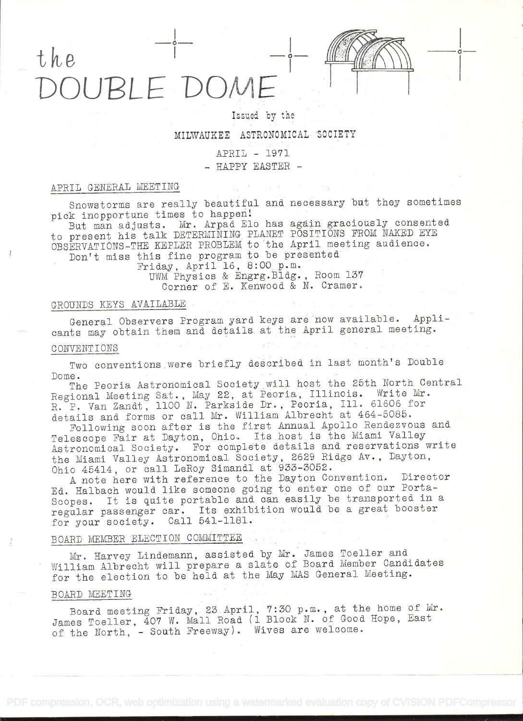# the OUBLE DOA



## Issued by the

## MILWAUKEE ASTRONOMICAL SOCIETY

## APRIL - 1971

- HAPPY EASTER -

## APRIL GENERAL MEETING

Snowstorms are really beautiful and necessary but they sometimes pick inopportune times to happen!

But man adjusts. Mr. Arpad Elo has again graciously consented to present his talk DETERMINING PLANET POSITIONS FROM NAKED EYE OBSERVATIONS-THE KEPLER PROBLEM to the April meeting audience. Don't miss this fine program to be presented

Friday, April 16, 8:00 p.m. UWM Physics & Engrg. Bldg., Room 137 Corner of E. Kenwood & N. Cramer.

## GROUNDS KEYS AVAILABLE

General Observers Program yard keys are now available. Applicants may obtain them and details at the April general meeting.

#### CONVENTIONS

Two conventions were briefly described in last month's Double Dome.

The Peoria Astronomical Society will host the 25th North Central Regional Meeting Sat., May 22, at Peoria, Illinois. Write Mr. R. P. Van Zandt, 1100 N. Parkside Dr., Peoria, Ill. 61606 for details and forms or call Mr. William Albrecht at 464-5085.

Following soon after is the first Annual Apollo Rendezvous and Telescope Fair at Dayton, Ohio. Its host is the Miami Valley Astronomical Society. For complete details and reservations write the Miami Valley Astronomical Society, 2629 Ridge Av., Dayton, Ohio 45414, or call LeRoy Simandl at 933-3052.

A note here with reference to the Dayton Convention. Director Ed. Halbach would like someone going to enter one of our Porta-Scopes. It is quite portable and can easily be transported in a regular passenger car. Its exhibition would be a great booster for your society. Call 541-1181.

## BOARD MEMBER ELECTION COMMITTEE

Mr. Harvey Lindemann, assisted by Mr. James Toeller and William Albrecht will prepare a slate of Board Member Candidates for the election to be held at the May MAS General Meeting.

#### BOARD MEETING

Board meeting Friday, 23 April, 7:30 p.m., at the home of Mr. James Toeller, 407 W. Mall Road (1 Block N. of Good Hope, East of the North, - South Freeway). Wives are welcome.